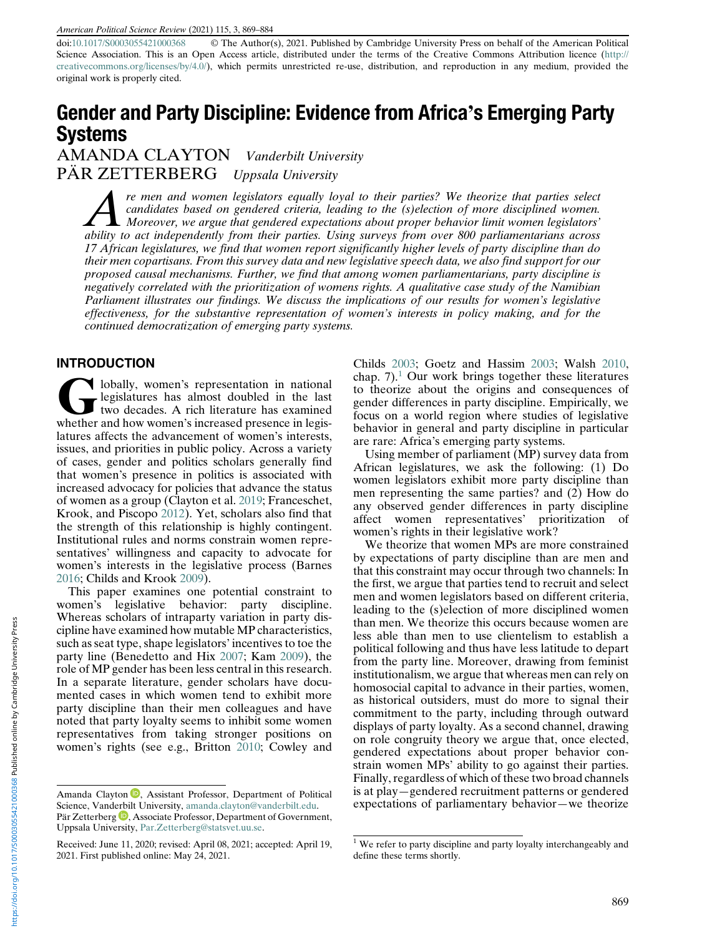doi:[10.1017/S0003055421000368](https://doi.org/10.1017/S0003055421000368) © The Author(s), 2021. Published by Cambridge University Press on behalf of the American Political Science Association. This is an Open Access article, distributed under the terms of the Creative Commons Attribution licence ([http://](http://creativecommons.org/licenses/by/4.0/) [creativecommons.org/licenses/by/4.0/\)](http://creativecommons.org/licenses/by/4.0/), which permits unrestricted re-use, distribution, and reproduction in any medium, provided the original work is properly cited.

# Gender and Party Discipline: Evidence from Africa's Emerging Party Systems

AMANDA CLAYTON Vanderbilt University PAR ZETTERBERG Uppsala University

re men and women legislators equally loyal to their parties? We theorize that parties select<br>candidates based on gendered criteria, leading to the (s)election of more disciplined women.<br>A Moreover, we argue that gendered e candidates based on gendered criteria, leading to the (s)election of more disciplined women.  $\blacksquare$  Moreover, we argue that gendered expectations about proper behavior limit women legislators' ability to act independently from their parties. Using surveys from over 800 parliamentarians across 17 African legislatures, we find that women report significantly higher levels of party discipline than do their men copartisans. From this survey data and new legislative speech data, we also find support for our proposed causal mechanisms. Further, we find that among women parliamentarians, party discipline is negatively correlated with the prioritization of womens rights. A qualitative case study of the Namibian Parliament illustrates our findings. We discuss the implications of our results for women's legislative effectiveness, for the substantive representation of women's interests in policy making, and for the continued democratization of emerging party systems.

#### INTRODUCTION

Iobally, women's representation in national<br>two decades. A rich literature has examined<br>whether and how women's increased presence in legislegislatures has almost doubled in the last whether and how women's increased presence in legislatures affects the advancement of women's interests, issues, and priorities in public policy. Across a variety of cases, gender and politics scholars generally find that women's presence in politics is associated with increased advocacy for policies that advance the status of women as a group (Clayton et al. [2019](#page-14-0); Franceschet, Krook, and Piscopo [2012](#page-14-0)). Yet, scholars also find that the strength of this relationship is highly contingent. Institutional rules and norms constrain women representatives' willingness and capacity to advocate for women's interests in the legislative process (Barnes [2016;](#page-14-0) Childs and Krook [2009](#page-14-0)).

This paper examines one potential constraint to women's legislative behavior: party discipline. Whereas scholars of intraparty variation in party discipline have examined how mutable MP characteristics, such as seat type, shape legislators' incentives to toe the party line (Benedetto and Hix [2007](#page-14-0); Kam [2009](#page-14-0)), the role of MP gender has been less central in this research. In a separate literature, gender scholars have documented cases in which women tend to exhibit more party discipline than their men colleagues and have noted that party loyalty seems to inhibit some women representatives from taking stronger positions on women's rights (see e.g., Britton [2010](#page-14-0); Cowley and Childs [2003;](#page-14-0) Goetz and Hassim [2003](#page-14-0); Walsh [2010,](#page-15-0) chap.  $7$ ).<sup>1</sup> Our work brings together these literatures to theorize about the origins and consequences of gender differences in party discipline. Empirically, we focus on a world region where studies of legislative behavior in general and party discipline in particular are rare: Africa's emerging party systems.

Using member of parliament (MP) survey data from African legislatures, we ask the following: (1) Do women legislators exhibit more party discipline than men representing the same parties? and (2) How do any observed gender differences in party discipline affect women representatives' prioritization of women's rights in their legislative work?

We theorize that women MPs are more constrained by expectations of party discipline than are men and that this constraint may occur through two channels: In the first, we argue that parties tend to recruit and select men and women legislators based on different criteria, leading to the (s)election of more disciplined women than men. We theorize this occurs because women are less able than men to use clientelism to establish a political following and thus have less latitude to depart from the party line. Moreover, drawing from feminist institutionalism, we argue that whereas men can rely on homosocial capital to advance in their parties, women, as historical outsiders, must do more to signal their commitment to the party, including through outward displays of party loyalty. As a second channel, drawing on role congruity theory we argue that, once elected, gendered expectations about proper behavior constrain women MPs' ability to go against their parties. Finally, regardless of which of these two broad channels is at play—gendered recruitment patterns or gendered Amanda Clayton **D**[,](https://orcid.org/0000-0003-0222-2056) Assistant Professor, Department of Political and play—gendered recruitment patterns or gendered Science, Vanderbilt University, amanda clayton @vanderbilt.edu. expectations of parliamentary behavior—we

Science, Vand[erbi](https://orcid.org/0000-0003-2103-3525)lt University, [amanda.clayton@vanderbilt.edu.](mailto:amanda.clayton@vanderbilt.edu)

Pär Zetterberg  $\bullet$ , Associate Professor, Department of Government, Uppsala University, [Par.Zetterberg@statsvet.uu.se.](mailto:Par.Zetterberg@statsvet.uu.se)

Received: June 11, 2020; revised: April 08, 2021; accepted: April 19, 2021. First published online: May 24, 2021.

<sup>&</sup>lt;sup>1</sup> We refer to party discipline and party loyalty interchangeably and define these terms shortly.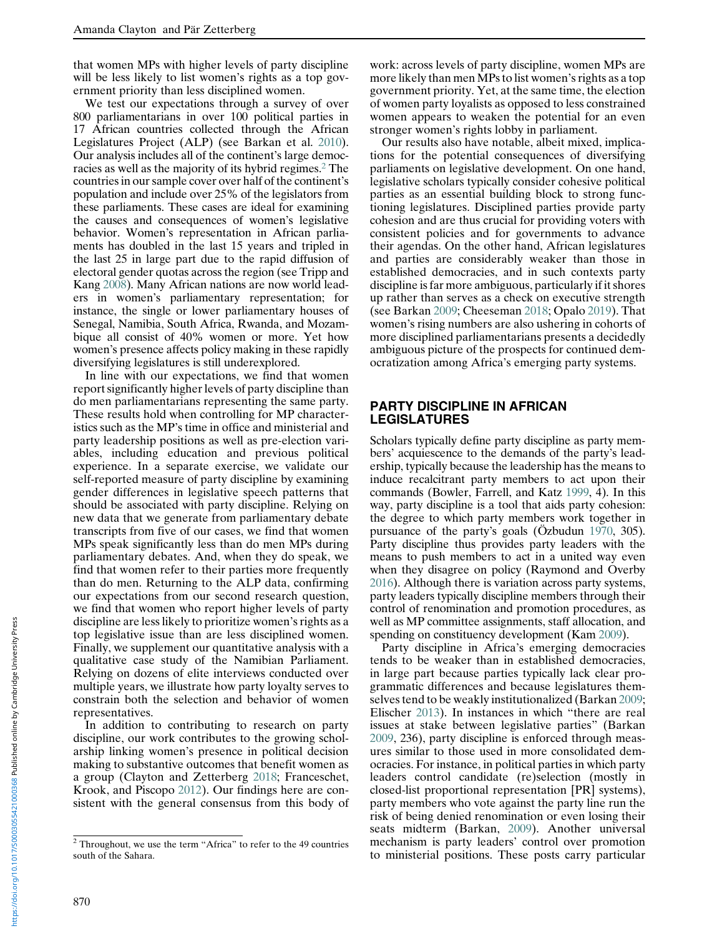that women MPs with higher levels of party discipline will be less likely to list women's rights as a top government priority than less disciplined women.

We test our expectations through a survey of over 800 parliamentarians in over 100 political parties in 17 African countries collected through the African Legislatures Project (ALP) (see Barkan et al. [2010\)](#page-14-0). Our analysis includes all of the continent's large democracies as well as the majority of its hybrid regimes.<sup>2</sup> The countries in our sample cover over half of the continent's population and include over 25% of the legislators from these parliaments. These cases are ideal for examining the causes and consequences of women's legislative behavior. Women's representation in African parliaments has doubled in the last 15 years and tripled in the last 25 in large part due to the rapid diffusion of electoral gender quotas across the region (see Tripp and Kang [2008\)](#page-15-0). Many African nations are now world leaders in women's parliamentary representation; for instance, the single or lower parliamentary houses of Senegal, Namibia, South Africa, Rwanda, and Mozambique all consist of 40% women or more. Yet how women's presence affects policy making in these rapidly diversifying legislatures is still underexplored.

In line with our expectations, we find that women report significantly higher levels of party discipline than do men parliamentarians representing the same party. These results hold when controlling for MP characteristics such as the MP's time in office and ministerial and party leadership positions as well as pre-election variables, including education and previous political experience. In a separate exercise, we validate our self-reported measure of party discipline by examining gender differences in legislative speech patterns that should be associated with party discipline. Relying on new data that we generate from parliamentary debate transcripts from five of our cases, we find that women MPs speak significantly less than do men MPs during parliamentary debates. And, when they do speak, we find that women refer to their parties more frequently than do men. Returning to the ALP data, confirming our expectations from our second research question, we find that women who report higher levels of party discipline are less likely to prioritize women's rights as a top legislative issue than are less disciplined women. Finally, we supplement our quantitative analysis with a qualitative case study of the Namibian Parliament. Relying on dozens of elite interviews conducted over multiple years, we illustrate how party loyalty serves to constrain both the selection and behavior of women representatives.

In addition to contributing to research on party discipline, our work contributes to the growing scholarship linking women's presence in political decision making to substantive outcomes that benefit women as a group (Clayton and Zetterberg [2018](#page-14-0); Franceschet, Krook, and Piscopo [2012\)](#page-14-0). Our findings here are consistent with the general consensus from this body of

work: across levels of party discipline, women MPs are more likely than men MPs to list women's rights as a top government priority. Yet, at the same time, the election of women party loyalists as opposed to less constrained women appears to weaken the potential for an even stronger women's rights lobby in parliament.

Our results also have notable, albeit mixed, implications for the potential consequences of diversifying parliaments on legislative development. On one hand, legislative scholars typically consider cohesive political parties as an essential building block to strong functioning legislatures. Disciplined parties provide party cohesion and are thus crucial for providing voters with consistent policies and for governments to advance their agendas. On the other hand, African legislatures and parties are considerably weaker than those in established democracies, and in such contexts party discipline is far more ambiguous, particularly if it shores up rather than serves as a check on executive strength (see Barkan [2009;](#page-14-0) Cheeseman [2018;](#page-14-0) Opalo [2019](#page-15-0)). That women's rising numbers are also ushering in cohorts of more disciplined parliamentarians presents a decidedly ambiguous picture of the prospects for continued democratization among Africa's emerging party systems.

#### PARTY DISCIPLINE IN AFRICAN LEGISLATURES

Scholars typically define party discipline as party members' acquiescence to the demands of the party's leadership, typically because the leadership has the means to induce recalcitrant party members to act upon their commands (Bowler, Farrell, and Katz [1999](#page-14-0), 4). In this way, party discipline is a tool that aids party cohesion: the degree to which party members work together in pursuance of the party's goals (Özbudun [1970](#page-15-0), 305). Party discipline thus provides party leaders with the means to push members to act in a united way even when they disagree on policy (Raymond and Overby [2016\)](#page-15-0). Although there is variation across party systems, party leaders typically discipline members through their control of renomination and promotion procedures, as well as MP committee assignments, staff allocation, and spending on constituency development (Kam [2009](#page-14-0)).

Party discipline in Africa's emerging democracies tends to be weaker than in established democracies, in large part because parties typically lack clear programmatic differences and because legislatures themselves tend to be weakly institutionalized (Barkan [2009;](#page-14-0) Elischer [2013](#page-14-0)). In instances in which "there are real issues at stake between legislative parties" (Barkan [2009,](#page-14-0) 236), party discipline is enforced through measures similar to those used in more consolidated democracies. For instance, in political parties in which party leaders control candidate (re)selection (mostly in closed-list proportional representation [PR] systems), party members who vote against the party line run the risk of being denied renomination or even losing their seats midterm (Barkan, [2009\)](#page-14-0). Another universal mechanism is party leaders' control over promotion to ministerial positions. These posts carry particular

<sup>2</sup> Throughout, we use the term "Africa" to refer to the 49 countries south of the Sahara.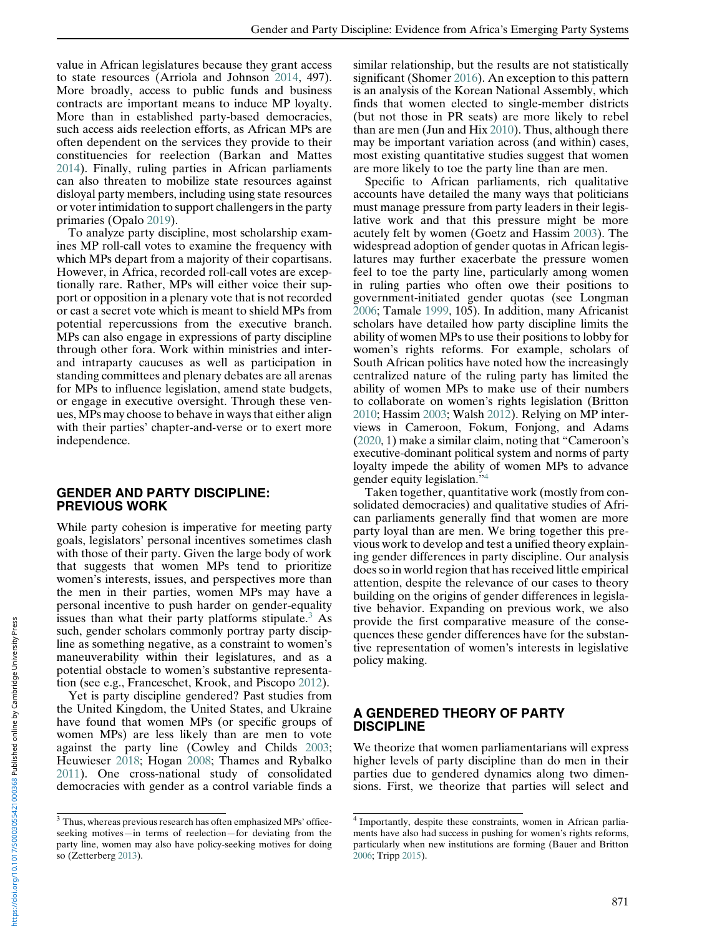value in African legislatures because they grant access to state resources (Arriola and Johnson [2014,](#page-14-0) 497). More broadly, access to public funds and business contracts are important means to induce MP loyalty. More than in established party-based democracies, such access aids reelection efforts, as African MPs are often dependent on the services they provide to their constituencies for reelection (Barkan and Mattes [2014\)](#page-14-0). Finally, ruling parties in African parliaments can also threaten to mobilize state resources against disloyal party members, including using state resources or voter intimidation to support challengers in the party primaries (Opalo [2019](#page-15-0)).

To analyze party discipline, most scholarship examines MP roll-call votes to examine the frequency with which MPs depart from a majority of their copartisans. However, in Africa, recorded roll-call votes are exceptionally rare. Rather, MPs will either voice their support or opposition in a plenary vote that is not recorded or cast a secret vote which is meant to shield MPs from potential repercussions from the executive branch. MPs can also engage in expressions of party discipline through other fora. Work within ministries and interand intraparty caucuses as well as participation in standing committees and plenary debates are all arenas for MPs to influence legislation, amend state budgets, or engage in executive oversight. Through these venues, MPs may choose to behave in ways that either align with their parties' chapter-and-verse or to exert more independence.

#### GENDER AND PARTY DISCIPLINE: PREVIOUS WORK

While party cohesion is imperative for meeting party goals, legislators' personal incentives sometimes clash with those of their party. Given the large body of work that suggests that women MPs tend to prioritize women's interests, issues, and perspectives more than the men in their parties, women MPs may have a personal incentive to push harder on gender-equality issues than what their party platforms stipulate. $3$  As such, gender scholars commonly portray party discipline as something negative, as a constraint to women's maneuverability within their legislatures, and as a potential obstacle to women's substantive representation (see e.g., Franceschet, Krook, and Piscopo [2012\)](#page-14-0).

Yet is party discipline gendered? Past studies from the United Kingdom, the United States, and Ukraine have found that women MPs (or specific groups of women MPs) are less likely than are men to vote against the party line (Cowley and Childs [2003](#page-14-0); Heuwieser [2018](#page-14-0); Hogan [2008](#page-14-0); Thames and Rybalko [2011\)](#page-15-0). One cross-national study of consolidated democracies with gender as a control variable finds a similar relationship, but the results are not statistically significant (Shomer [2016](#page-15-0)). An exception to this pattern is an analysis of the Korean National Assembly, which finds that women elected to single-member districts (but not those in PR seats) are more likely to rebel than are men (Jun and Hix [2010\)](#page-14-0). Thus, although there may be important variation across (and within) cases, most existing quantitative studies suggest that women are more likely to toe the party line than are men.

Specific to African parliaments, rich qualitative accounts have detailed the many ways that politicians must manage pressure from party leaders in their legislative work and that this pressure might be more acutely felt by women (Goetz and Hassim [2003](#page-14-0)). The widespread adoption of gender quotas in African legislatures may further exacerbate the pressure women feel to toe the party line, particularly among women in ruling parties who often owe their positions to government-initiated gender quotas (see Longman [2006;](#page-15-0) Tamale [1999,](#page-15-0) 105). In addition, many Africanist scholars have detailed how party discipline limits the ability of women MPs to use their positions to lobby for women's rights reforms. For example, scholars of South African politics have noted how the increasingly centralized nature of the ruling party has limited the ability of women MPs to make use of their numbers to collaborate on women's rights legislation (Britton [2010;](#page-14-0) Hassim [2003;](#page-14-0) Walsh [2012](#page-15-0)). Relying on MP interviews in Cameroon, Fokum, Fonjong, and Adams ([2020](#page-14-0), 1) make a similar claim, noting that "Cameroon's executive-dominant political system and norms of party loyalty impede the ability of women MPs to advance gender equity legislation."<sup>4</sup>

Taken together, quantitative work (mostly from consolidated democracies) and qualitative studies of African parliaments generally find that women are more party loyal than are men. We bring together this previous work to develop and test a unified theory explaining gender differences in party discipline. Our analysis does so in world region that has received little empirical attention, despite the relevance of our cases to theory building on the origins of gender differences in legislative behavior. Expanding on previous work, we also provide the first comparative measure of the consequences these gender differences have for the substantive representation of women's interests in legislative policy making.

## A GENDERED THEORY OF PARTY **DISCIPLINE**

We theorize that women parliamentarians will express higher levels of party discipline than do men in their parties due to gendered dynamics along two dimensions. First, we theorize that parties will select and

 $^3$  Thus, whereas previous research has often emphasized MPs' officeseeking motives—in terms of reelection—for deviating from the party line, women may also have policy-seeking motives for doing so (Zetterberg [2013\)](#page-15-0).

<sup>4</sup> Importantly, despite these constraints, women in African parliaments have also had success in pushing for women's rights reforms, particularly when new institutions are forming (Bauer and Britton [2006;](#page-14-0) Tripp [2015](#page-15-0)).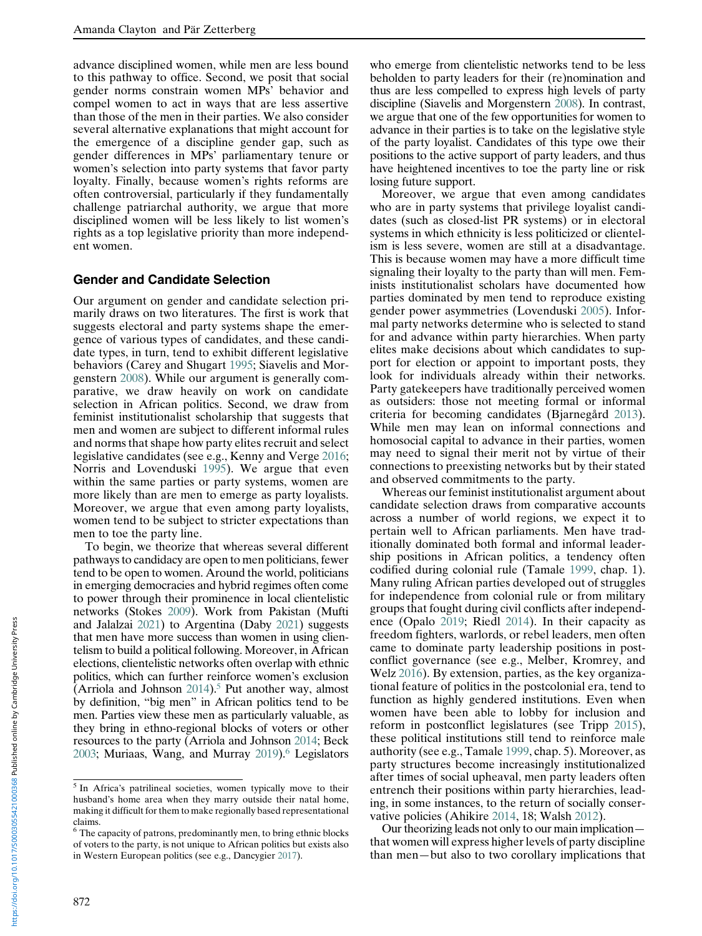advance disciplined women, while men are less bound to this pathway to office. Second, we posit that social gender norms constrain women MPs' behavior and compel women to act in ways that are less assertive than those of the men in their parties. We also consider several alternative explanations that might account for the emergence of a discipline gender gap, such as gender differences in MPs' parliamentary tenure or women's selection into party systems that favor party loyalty. Finally, because women's rights reforms are often controversial, particularly if they fundamentally challenge patriarchal authority, we argue that more disciplined women will be less likely to list women's rights as a top legislative priority than more independent women.

#### Gender and Candidate Selection

Our argument on gender and candidate selection primarily draws on two literatures. The first is work that suggests electoral and party systems shape the emergence of various types of candidates, and these candidate types, in turn, tend to exhibit different legislative behaviors (Carey and Shugart [1995](#page-14-0); Siavelis and Morgenstern [2008\)](#page-15-0). While our argument is generally comparative, we draw heavily on work on candidate selection in African politics. Second, we draw from feminist institutionalist scholarship that suggests that men and women are subject to different informal rules and norms that shape how party elites recruit and select legislative candidates (see e.g., Kenny and Verge [2016;](#page-14-0) Norris and Lovenduski [1995](#page-15-0)). We argue that even within the same parties or party systems, women are more likely than are men to emerge as party loyalists. Moreover, we argue that even among party loyalists, women tend to be subject to stricter expectations than men to toe the party line.

To begin, we theorize that whereas several different pathways to candidacy are open to men politicians, fewer tend to be open to women. Around the world, politicians in emerging democracies and hybrid regimes often come to power through their prominence in local clientelistic networks (Stokes [2009](#page-15-0)). Work from Pakistan (Mufti and Jalalzai [2021\)](#page-15-0) to Argentina (Daby [2021](#page-14-0)) suggests that men have more success than women in using clientelism to build a political following. Moreover, in African elections, clientelistic networks often overlap with ethnic politics, which can further reinforce women's exclusion (Arriola and Johnson  $2014$ ).<sup>5</sup> Put another way, almost by definition, "big men" in African politics tend to be men. Parties view these men as particularly valuable, as they bring in ethno-regional blocks of voters or other resources to the party (Arriola and Johnson [2014](#page-14-0); Beck [2003](#page-14-0); Muriaas, Wang, and Murray [2019](#page-15-0)).<sup>6</sup> Legislators

who emerge from clientelistic networks tend to be less beholden to party leaders for their (re)nomination and thus are less compelled to express high levels of party discipline (Siavelis and Morgenstern [2008\)](#page-15-0). In contrast, we argue that one of the few opportunities for women to advance in their parties is to take on the legislative style of the party loyalist. Candidates of this type owe their positions to the active support of party leaders, and thus have heightened incentives to toe the party line or risk losing future support.

Moreover, we argue that even among candidates who are in party systems that privilege loyalist candidates (such as closed-list PR systems) or in electoral systems in which ethnicity is less politicized or clientelism is less severe, women are still at a disadvantage. This is because women may have a more difficult time signaling their loyalty to the party than will men. Feminists institutionalist scholars have documented how parties dominated by men tend to reproduce existing gender power asymmetries (Lovenduski [2005](#page-15-0)). Informal party networks determine who is selected to stand for and advance within party hierarchies. When party elites make decisions about which candidates to support for election or appoint to important posts, they look for individuals already within their networks. Party gatekeepers have traditionally perceived women as outsiders: those not meeting formal or informal criteria for becoming candidates (Bjarnegård [2013\)](#page-14-0). While men may lean on informal connections and homosocial capital to advance in their parties, women may need to signal their merit not by virtue of their connections to preexisting networks but by their stated and observed commitments to the party.

Whereas our feminist institutionalist argument about candidate selection draws from comparative accounts across a number of world regions, we expect it to pertain well to African parliaments. Men have traditionally dominated both formal and informal leadership positions in African politics, a tendency often codified during colonial rule (Tamale [1999,](#page-15-0) chap. 1). Many ruling African parties developed out of struggles for independence from colonial rule or from military groups that fought during civil conflicts after independence (Opalo [2019;](#page-15-0) Riedl [2014\)](#page-15-0). In their capacity as freedom fighters, warlords, or rebel leaders, men often came to dominate party leadership positions in postconflict governance (see e.g., Melber, Kromrey, and Welz [2016](#page-15-0)). By extension, parties, as the key organizational feature of politics in the postcolonial era, tend to function as highly gendered institutions. Even when women have been able to lobby for inclusion and reform in postconflict legislatures (see Tripp [2015\)](#page-15-0), these political institutions still tend to reinforce male authority (see e.g., Tamale [1999,](#page-15-0) chap. 5). Moreover, as party structures become increasingly institutionalized after times of social upheaval, men party leaders often entrench their positions within party hierarchies, leading, in some instances, to the return of socially conservative policies (Ahikire [2014,](#page-14-0) 18; Walsh [2012](#page-15-0)).

Our theorizing leads not only to our main implication that women will express higher levels of party discipline than men—but also to two corollary implications that

<sup>5</sup> In Africa's patrilineal societies, women typically move to their husband's home area when they marry outside their natal home, making it difficult for them to make regionally based representational claims.

<sup>&</sup>lt;sup>6</sup> The capacity of patrons, predominantly men, to bring ethnic blocks of voters to the party, is not unique to African politics but exists also in Western European politics (see e.g., Dancygier [2017](#page-14-0)).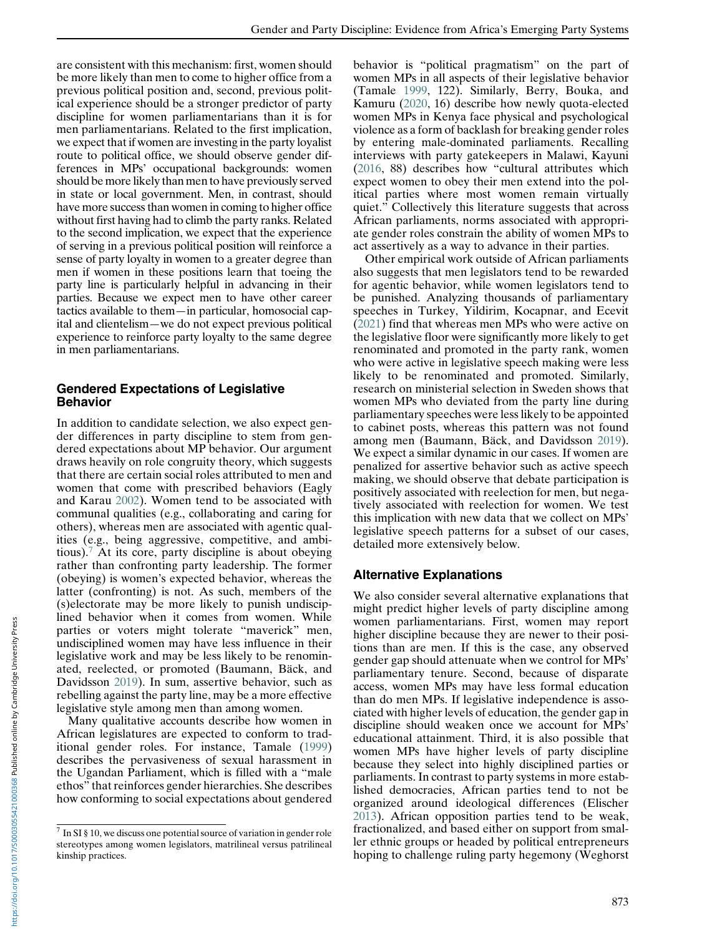are consistent with this mechanism: first, women should be more likely than men to come to higher office from a previous political position and, second, previous political experience should be a stronger predictor of party discipline for women parliamentarians than it is for men parliamentarians. Related to the first implication, we expect that if women are investing in the party loyalist route to political office, we should observe gender differences in MPs' occupational backgrounds: women should be more likely than men to have previously served in state or local government. Men, in contrast, should have more success than women in coming to higher office without first having had to climb the party ranks. Related to the second implication, we expect that the experience of serving in a previous political position will reinforce a sense of party loyalty in women to a greater degree than men if women in these positions learn that toeing the party line is particularly helpful in advancing in their parties. Because we expect men to have other career tactics available to them—in particular, homosocial capital and clientelism—we do not expect previous political experience to reinforce party loyalty to the same degree in men parliamentarians.

## Gendered Expectations of Legislative Behavior

In addition to candidate selection, we also expect gender differences in party discipline to stem from gendered expectations about MP behavior. Our argument draws heavily on role congruity theory, which suggests that there are certain social roles attributed to men and women that come with prescribed behaviors (Eagly and Karau [2002\)](#page-14-0). Women tend to be associated with communal qualities (e.g., collaborating and caring for others), whereas men are associated with agentic qualities (e.g., being aggressive, competitive, and ambitious).<sup>7</sup> At its core, party discipline is about obeying rather than confronting party leadership. The former (obeying) is women's expected behavior, whereas the latter (confronting) is not. As such, members of the (s)electorate may be more likely to punish undisciplined behavior when it comes from women. While parties or voters might tolerate "maverick" men, undisciplined women may have less influence in their legislative work and may be less likely to be renominated, reelected, or promoted (Baumann, Bäck, and Davidsson [2019\)](#page-14-0). In sum, assertive behavior, such as rebelling against the party line, may be a more effective legislative style among men than among women.

Many qualitative accounts describe how women in African legislatures are expected to conform to traditional gender roles. For instance, Tamale [\(1999](#page-15-0)) describes the pervasiveness of sexual harassment in the Ugandan Parliament, which is filled with a "male ethos" that reinforces gender hierarchies. She describes how conforming to social expectations about gendered behavior is "political pragmatism" on the part of women MPs in all aspects of their legislative behavior (Tamale [1999](#page-15-0), 122). Similarly, Berry, Bouka, and Kamuru ([2020,](#page-14-0) 16) describe how newly quota-elected women MPs in Kenya face physical and psychological violence as a form of backlash for breaking gender roles by entering male-dominated parliaments. Recalling interviews with party gatekeepers in Malawi, Kayuni ([2016,](#page-14-0) 88) describes how "cultural attributes which expect women to obey their men extend into the political parties where most women remain virtually quiet." Collectively this literature suggests that across African parliaments, norms associated with appropriate gender roles constrain the ability of women MPs to act assertively as a way to advance in their parties.

Other empirical work outside of African parliaments also suggests that men legislators tend to be rewarded for agentic behavior, while women legislators tend to be punished. Analyzing thousands of parliamentary speeches in Turkey, Yildirim, Kocapnar, and Ecevit ([2021\)](#page-15-0) find that whereas men MPs who were active on the legislative floor were significantly more likely to get renominated and promoted in the party rank, women who were active in legislative speech making were less likely to be renominated and promoted. Similarly, research on ministerial selection in Sweden shows that women MPs who deviated from the party line during parliamentary speeches were less likely to be appointed to cabinet posts, whereas this pattern was not found among men (Baumann, Bäck, and Davidsson [2019\)](#page-14-0). We expect a similar dynamic in our cases. If women are penalized for assertive behavior such as active speech making, we should observe that debate participation is positively associated with reelection for men, but negatively associated with reelection for women. We test this implication with new data that we collect on MPs' legislative speech patterns for a subset of our cases, detailed more extensively below.

## Alternative Explanations

We also consider several alternative explanations that might predict higher levels of party discipline among women parliamentarians. First, women may report higher discipline because they are newer to their positions than are men. If this is the case, any observed gender gap should attenuate when we control for MPs' parliamentary tenure. Second, because of disparate access, women MPs may have less formal education than do men MPs. If legislative independence is associated with higher levels of education, the gender gap in discipline should weaken once we account for MPs' educational attainment. Third, it is also possible that women MPs have higher levels of party discipline because they select into highly disciplined parties or parliaments. In contrast to party systems in more established democracies, African parties tend to not be organized around ideological differences (Elischer [2013\)](#page-14-0). African opposition parties tend to be weak, fractionalized, and based either on support from smaller ethnic groups or headed by political entrepreneurs hoping to challenge ruling party hegemony (Weghorst

 $\frac{7}{1}$  In SI § 10, we discuss one potential source of variation in gender role stereotypes among women legislators, matrilineal versus patrilineal kinship practices.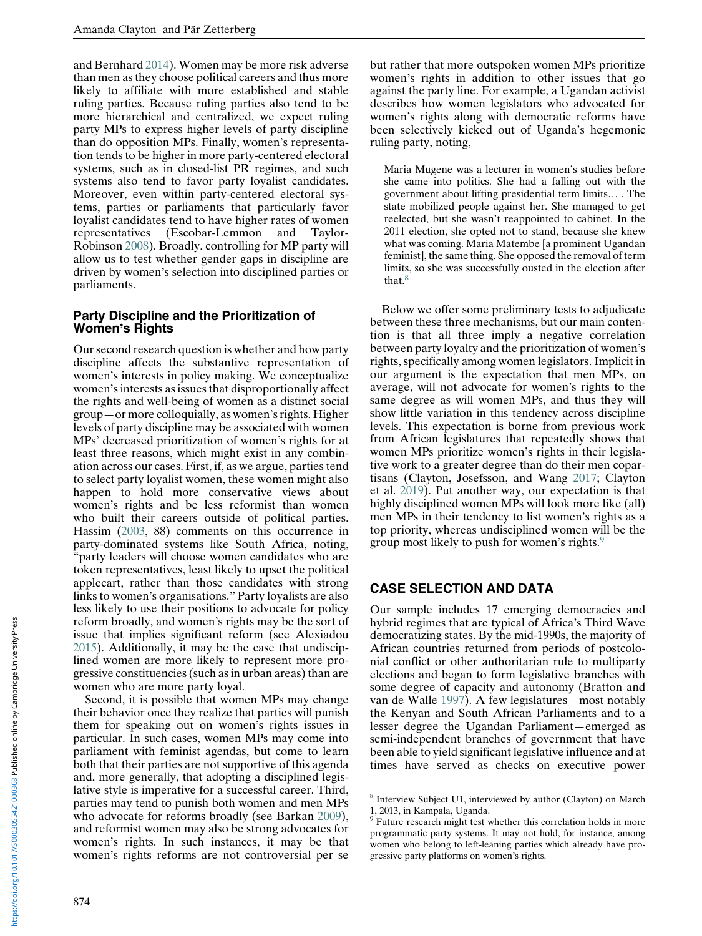and Bernhard [2014](#page-15-0)). Women may be more risk adverse than men as they choose political careers and thus more likely to affiliate with more established and stable ruling parties. Because ruling parties also tend to be more hierarchical and centralized, we expect ruling party MPs to express higher levels of party discipline than do opposition MPs. Finally, women's representation tends to be higher in more party-centered electoral systems, such as in closed-list PR regimes, and such systems also tend to favor party loyalist candidates. Moreover, even within party-centered electoral systems, parties or parliaments that particularly favor loyalist candidates tend to have higher rates of women representatives (Escobar-Lemmon and Taylor-Robinson [2008\)](#page-14-0). Broadly, controlling for MP party will allow us to test whether gender gaps in discipline are driven by women's selection into disciplined parties or parliaments.

#### Party Discipline and the Prioritization of Women's Rights

Our second research question is whether and how party discipline affects the substantive representation of women's interests in policy making. We conceptualize women's interests as issues that disproportionally affect the rights and well-being of women as a distinct social group—or more colloquially, as women's rights. Higher levels of party discipline may be associated with women MPs' decreased prioritization of women's rights for at least three reasons, which might exist in any combination across our cases. First, if, as we argue, parties tend to select party loyalist women, these women might also happen to hold more conservative views about women's rights and be less reformist than women who built their careers outside of political parties. Hassim ([2003,](#page-14-0) 88) comments on this occurrence in party-dominated systems like South Africa, noting, "party leaders will choose women candidates who are token representatives, least likely to upset the political applecart, rather than those candidates with strong links to women's organisations." Party loyalists are also less likely to use their positions to advocate for policy reform broadly, and women's rights may be the sort of issue that implies significant reform (see Alexiadou [2015\)](#page-14-0). Additionally, it may be the case that undisciplined women are more likely to represent more progressive constituencies (such as in urban areas) than are women who are more party loyal.

Second, it is possible that women MPs may change their behavior once they realize that parties will punish them for speaking out on women's rights issues in particular. In such cases, women MPs may come into parliament with feminist agendas, but come to learn both that their parties are not supportive of this agenda and, more generally, that adopting a disciplined legislative style is imperative for a successful career. Third, parties may tend to punish both women and men MPs who advocate for reforms broadly (see Barkan [2009\)](#page-14-0), and reformist women may also be strong advocates for women's rights. In such instances, it may be that women's rights reforms are not controversial per se

but rather that more outspoken women MPs prioritize women's rights in addition to other issues that go against the party line. For example, a Ugandan activist describes how women legislators who advocated for women's rights along with democratic reforms have been selectively kicked out of Uganda's hegemonic ruling party, noting,

Maria Mugene was a lecturer in women's studies before she came into politics. She had a falling out with the government about lifting presidential term limits… . The state mobilized people against her. She managed to get reelected, but she wasn't reappointed to cabinet. In the 2011 election, she opted not to stand, because she knew what was coming. Maria Matembe [a prominent Ugandan feminist], the same thing. She opposed the removal of term limits, so she was successfully ousted in the election after that.<sup>8</sup>

Below we offer some preliminary tests to adjudicate between these three mechanisms, but our main contention is that all three imply a negative correlation between party loyalty and the prioritization of women's rights, specifically among women legislators. Implicit in our argument is the expectation that men MPs, on average, will not advocate for women's rights to the same degree as will women MPs, and thus they will show little variation in this tendency across discipline levels. This expectation is borne from previous work from African legislatures that repeatedly shows that women MPs prioritize women's rights in their legislative work to a greater degree than do their men copartisans (Clayton, Josefsson, and Wang [2017](#page-14-0); Clayton et al. [2019\)](#page-14-0). Put another way, our expectation is that highly disciplined women MPs will look more like (all) men MPs in their tendency to list women's rights as a top priority, whereas undisciplined women will be the group most likely to push for women's rights.9

# CASE SELECTION AND DATA

Our sample includes 17 emerging democracies and hybrid regimes that are typical of Africa's Third Wave democratizing states. By the mid-1990s, the majority of African countries returned from periods of postcolonial conflict or other authoritarian rule to multiparty elections and began to form legislative branches with some degree of capacity and autonomy (Bratton and van de Walle [1997](#page-14-0)). A few legislatures—most notably the Kenyan and South African Parliaments and to a lesser degree the Ugandan Parliament—emerged as semi-independent branches of government that have been able to yield significant legislative influence and at times have served as checks on executive power

<sup>8</sup> Interview Subject U1, interviewed by author (Clayton) on March 1, 2013, in Kampala, Uganda.

<sup>&</sup>lt;sup>9</sup> Future research might test whether this correlation holds in more programmatic party systems. It may not hold, for instance, among women who belong to left-leaning parties which already have progressive party platforms on women's rights.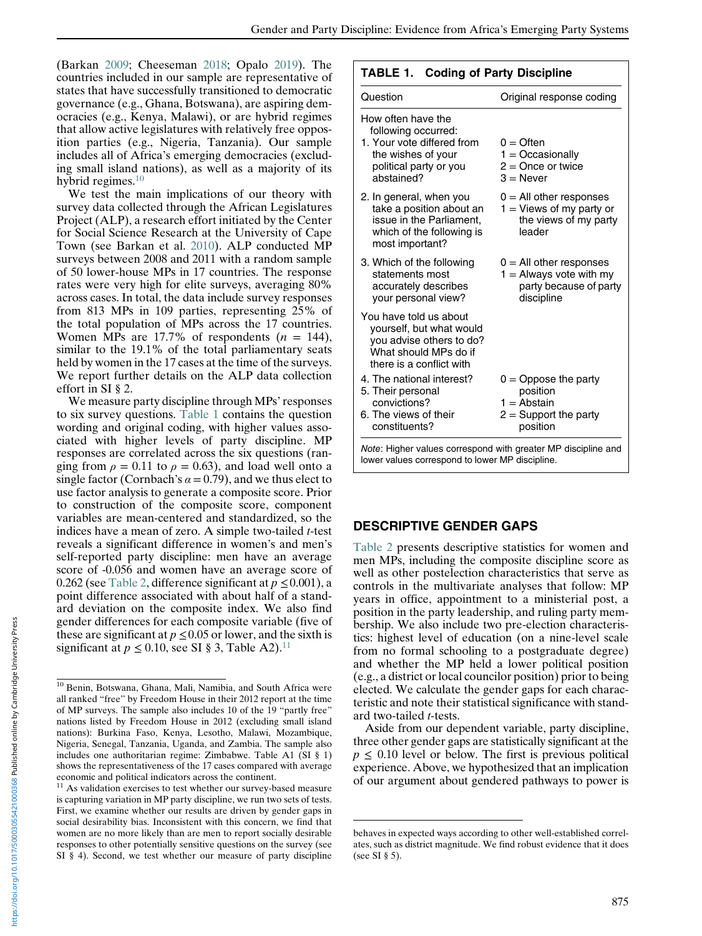<span id="page-6-0"></span>(Barkan [2009;](#page-14-0) Cheeseman [2018](#page-14-0); Opalo [2019](#page-15-0)). The countries included in our sample are representative of states that have successfully transitioned to democratic governance (e.g., Ghana, Botswana), are aspiring democracies (e.g., Kenya, Malawi), or are hybrid regimes that allow active legislatures with relatively free opposition parties (e.g., Nigeria, Tanzania). Our sample includes all of Africa's emerging democracies (excluding small island nations), as well as a majority of its hybrid regimes.<sup>10</sup>

We test the main implications of our theory with survey data collected through the African Legislatures Project (ALP), a research effort initiated by the Center for Social Science Research at the University of Cape Town (see Barkan et al. [2010](#page-14-0)). ALP conducted MP surveys between 2008 and 2011 with a random sample of 50 lower-house MPs in 17 countries. The response rates were very high for elite surveys, averaging 80% across cases. In total, the data include survey responses from 813 MPs in 109 parties, representing 25% of the total population of MPs across the 17 countries. Women MPs are 17.7% of respondents  $(n = 144)$ , similar to the 19.1% of the total parliamentary seats held by women in the 17 cases at the time of the surveys. We report further details on the ALP data collection effort in SI § 2.

We measure party discipline through MPs'responses to six survey questions. Table 1 contains the question wording and original coding, with higher values associated with higher levels of party discipline. MP responses are correlated across the six questions (ranging from  $\rho = 0.11$  to  $\rho = 0.63$ ), and load well onto a single factor (Cornbach's  $\alpha$  = 0.79), and we thus elect to use factor analysis to generate a composite score. Prior to construction of the composite score, component variables are mean-centered and standardized, so the indices have a mean of zero. A simple two-tailed t-test reveals a significant difference in women's and men's self-reported party discipline: men have an average score of -0.056 and women have an average score of 0.262 (see [Table 2,](#page-7-0) difference significant at  $p \le 0.001$ ), a point difference associated with about half of a standard deviation on the composite index. We also find gender differences for each composite variable (five of these are significant at  $p \le 0.05$  or lower, and the sixth is significant at  $p \le 0.10$ , see SI § 3, Table A2).<sup>11</sup>

#### TABLE 1. Coding of Party Discipline

| Question                                                                                                                              | Original response coding                                                                       |
|---------------------------------------------------------------------------------------------------------------------------------------|------------------------------------------------------------------------------------------------|
| How often have the<br>following occurred:<br>1. Your vote differed from<br>the wishes of your<br>political party or you<br>abstained? | $0 =$ Often<br>$1 = Occasionaliv$<br>$2 =$ Once or twice<br>$3 =$ Never                        |
| 2. In general, when you<br>take a position about an<br>issue in the Parliament,<br>which of the following is<br>most important?       | $0 =$ All other responses<br>$1 =$ Views of my party or<br>the views of my party<br>leader     |
| 3. Which of the following<br>statements most<br>accurately describes<br>your personal view?                                           | $0 =$ All other responses<br>$1 =$ Always vote with my<br>party because of party<br>discipline |
| You have told us about<br>yourself, but what would<br>you advise others to do?<br>What should MPs do if<br>there is a conflict with   |                                                                                                |
| 4. The national interest?<br>5. Their personal<br>convictions?                                                                        | $0 =$ Oppose the party<br>position<br>$1 =$ Abstain                                            |
| 6. The views of their<br>constituents?                                                                                                | $2 =$ Support the party<br>position                                                            |

## DESCRIPTIVE GENDER GAPS

[Table 2](#page-7-0) presents descriptive statistics for women and men MPs, including the composite discipline score as well as other postelection characteristics that serve as controls in the multivariate analyses that follow: MP years in office, appointment to a ministerial post, a position in the party leadership, and ruling party membership. We also include two pre-election characteristics: highest level of education (on a nine-level scale from no formal schooling to a postgraduate degree) and whether the MP held a lower political position (e.g., a district or local councilor position) prior to being elected. We calculate the gender gaps for each characteristic and note their statistical significance with standard two-tailed t-tests.

Aside from our dependent variable, party discipline, three other gender gaps are statistically significant at the  $p \leq 0.10$  level or below. The first is previous political experience. Above, we hypothesized that an implication of our argument about gendered pathways to power is

<sup>10</sup> Benin, Botswana, Ghana, Mali, Namibia, and South Africa were all ranked "free" by Freedom House in their 2012 report at the time of MP surveys. The sample also includes 10 of the 19 "partly free" nations listed by Freedom House in 2012 (excluding small island nations): Burkina Faso, Kenya, Lesotho, Malawi, Mozambique, Nigeria, Senegal, Tanzania, Uganda, and Zambia. The sample also includes one authoritarian regime: Zimbabwe. Table A1 (SI § 1) shows the representativeness of the 17 cases compared with average  $\frac{1}{2}$  economic and political indicators across the continent.

As validation exercises to test whether our survey-based measure is capturing variation in MP party discipline, we run two sets of tests. First, we examine whether our results are driven by gender gaps in social desirability bias. Inconsistent with this concern, we find that women are no more likely than are men to report socially desirable responses to other potentially sensitive questions on the survey (see SI § 4). Second, we test whether our measure of party discipline

behaves in expected ways according to other well-established correlates, such as district magnitude. We find robust evidence that it does (see SI § 5).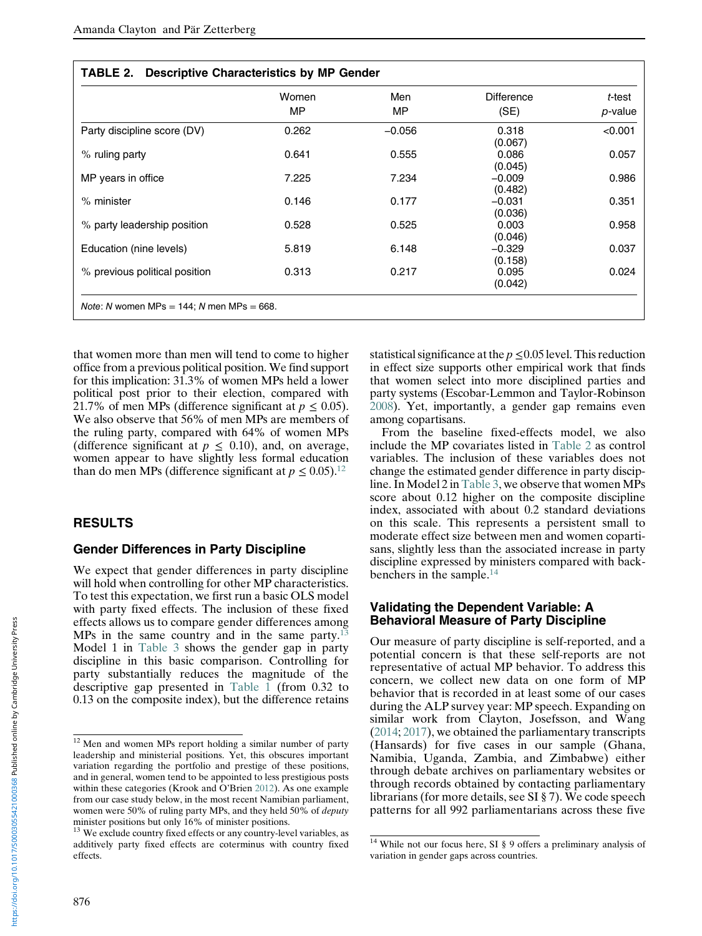<span id="page-7-0"></span>

|                               | Women | Men       | <b>Difference</b>   | t-test  |
|-------------------------------|-------|-----------|---------------------|---------|
|                               | MP    | <b>MP</b> | (SE)                | p-value |
| Party discipline score (DV)   | 0.262 | $-0.056$  | 0.318<br>(0.067)    | < 0.001 |
| % ruling party                | 0.641 | 0.555     | 0.086<br>(0.045)    | 0.057   |
| MP years in office            | 7.225 | 7.234     | $-0.009$<br>(0.482) | 0.986   |
| $%$ minister                  | 0.146 | 0.177     | $-0.031$<br>(0.036) | 0.351   |
| % party leadership position   | 0.528 | 0.525     | 0.003<br>(0.046)    | 0.958   |
| Education (nine levels)       | 5.819 | 6.148     | $-0.329$<br>(0.158) | 0.037   |
| % previous political position | 0.313 | 0.217     | 0.095<br>(0.042)    | 0.024   |

that women more than men will tend to come to higher office from a previous political position. We find support for this implication: 31.3% of women MPs held a lower political post prior to their election, compared with 21.7% of men MPs (difference significant at  $p \le 0.05$ ). We also observe that 56% of men MPs are members of the ruling party, compared with 64% of women MPs (difference significant at  $p \leq 0.10$ ), and, on average, women appear to have slightly less formal education than do men MPs (difference significant at  $p \leq 0.05$ ).<sup>12</sup>

## RESULTS

#### Gender Differences in Party Discipline

We expect that gender differences in party discipline will hold when controlling for other MP characteristics. To test this expectation, we first run a basic OLS model with party fixed effects. The inclusion of these fixed effects allows us to compare gender differences among MPs in the same country and in the same party. $^{13}$ Model 1 in [Table 3](#page-8-0) shows the gender gap in party discipline in this basic comparison. Controlling for party substantially reduces the magnitude of the descriptive gap presented in [Table 1](#page-6-0) (from 0.32 to 0.13 on the composite index), but the difference retains

statistical significance at the  $p \le 0.05$  level. This reduction in effect size supports other empirical work that finds that women select into more disciplined parties and party systems (Escobar-Lemmon and Taylor-Robinson [2008\)](#page-14-0). Yet, importantly, a gender gap remains even among copartisans.

From the baseline fixed-effects model, we also include the MP covariates listed in Table 2 as control variables. The inclusion of these variables does not change the estimated gender difference in party discipline. In Model 2 in [Table 3,](#page-8-0) we observe that women MPs score about 0.12 higher on the composite discipline index, associated with about 0.2 standard deviations on this scale. This represents a persistent small to moderate effect size between men and women copartisans, slightly less than the associated increase in party discipline expressed by ministers compared with backbenchers in the sample.14

#### Validating the Dependent Variable: A Behavioral Measure of Party Discipline

Our measure of party discipline is self-reported, and a potential concern is that these self-reports are not representative of actual MP behavior. To address this concern, we collect new data on one form of MP behavior that is recorded in at least some of our cases during the ALP survey year: MP speech. Expanding on similar work from Clayton, Josefsson, and Wang ([2014;](#page-14-0) [2017](#page-14-0)), we obtained the parliamentary transcripts (Hansards) for five cases in our sample (Ghana, Namibia, Uganda, Zambia, and Zimbabwe) either through debate archives on parliamentary websites or through records obtained by contacting parliamentary librarians (for more details, see SI § 7). We code speech patterns for all 992 parliamentarians across these five

<sup>&</sup>lt;sup>12</sup> Men and women MPs report holding a similar number of party leadership and ministerial positions. Yet, this obscures important variation regarding the portfolio and prestige of these positions, and in general, women tend to be appointed to less prestigious posts within these categories (Krook and O'Brien [2012\)](#page-15-0). As one example from our case study below, in the most recent Namibian parliament, women were 50% of ruling party MPs, and they held 50% of deputy minister positions but only 16% of minister positions.

<sup>&</sup>lt;sup>13</sup> We exclude country fixed effects or any country-level variables, as additively party fixed effects are coterminus with country fixed effects.

<sup>&</sup>lt;sup>14</sup> While not our focus here, SI § 9 offers a preliminary analysis of variation in gender gaps across countries.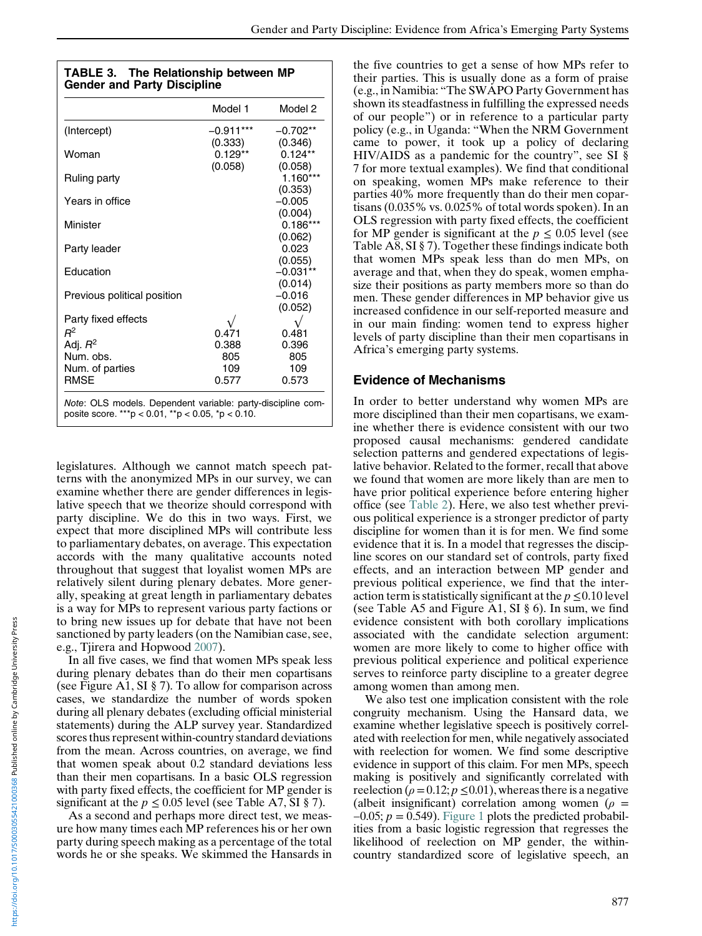<span id="page-8-0"></span>

| <b>TABLE 3. The Relationship between MP</b> |
|---------------------------------------------|
| <b>Gender and Party Discipline</b>          |

|                             | Model 1     | Model 2             |
|-----------------------------|-------------|---------------------|
| (Intercept)                 | $-0.911***$ | $-0.702**$          |
|                             | (0.333)     | (0.346)             |
| Woman                       | $0.129**$   | $0.124**$           |
|                             | (0.058)     | (0.058)             |
| Ruling party                |             | $1.160***$          |
| Years in office             |             | (0.353)<br>$-0.005$ |
|                             |             | (0.004)             |
| Minister                    |             | $0.186***$          |
|                             |             | (0.062)             |
| Party leader                |             | 0.023               |
|                             |             | (0.055)             |
| Education                   |             | $-0.031**$          |
|                             |             | (0.014)             |
| Previous political position |             | $-0.016$            |
|                             |             | (0.052)             |
| Party fixed effects         |             |                     |
| $R^2$                       | 0.471       | 0.481               |
| Adj. $R^2$                  | 0.388       | 0.396               |
| Num. obs.                   | 805         | 805                 |
| Num. of parties             | 109         | 109                 |
| <b>RMSE</b>                 | 0.577       | 0.573               |

legislatures. Although we cannot match speech patterns with the anonymized MPs in our survey, we can examine whether there are gender differences in legislative speech that we theorize should correspond with party discipline. We do this in two ways. First, we expect that more disciplined MPs will contribute less to parliamentary debates, on average. This expectation accords with the many qualitative accounts noted throughout that suggest that loyalist women MPs are relatively silent during plenary debates. More generally, speaking at great length in parliamentary debates is a way for MPs to represent various party factions or to bring new issues up for debate that have not been sanctioned by party leaders (on the Namibian case, see, e.g., Tjirera and Hopwood [2007](#page-15-0)).

In all five cases, we find that women MPs speak less during plenary debates than do their men copartisans (see Figure A1, SI § 7). To allow for comparison across cases, we standardize the number of words spoken during all plenary debates (excluding official ministerial statements) during the ALP survey year. Standardized scores thus represent within-country standard deviations from the mean. Across countries, on average, we find that women speak about 0.2 standard deviations less than their men copartisans. In a basic OLS regression with party fixed effects, the coefficient for MP gender is significant at the  $p \le 0.05$  level (see Table A7, SI § 7).

As a second and perhaps more direct test, we measure how many times each MP references his or her own party during speech making as a percentage of the total words he or she speaks. We skimmed the Hansards in

the five countries to get a sense of how MPs refer to their parties. This is usually done as a form of praise (e.g., in Namibia: "The SWAPO Party Government has shown its steadfastness in fulfilling the expressed needs of our people") or in reference to a particular party policy (e.g., in Uganda: "When the NRM Government came to power, it took up a policy of declaring HIV/AIDS as a pandemic for the country", see SI § 7 for more textual examples). We find that conditional on speaking, women MPs make reference to their parties 40% more frequently than do their men copartisans (0.035% vs. 0.025% of total words spoken). In an OLS regression with party fixed effects, the coefficient for MP gender is significant at the  $p \leq 0.05$  level (see Table A8, SI § 7). Together these findings indicate both that women MPs speak less than do men MPs, on average and that, when they do speak, women emphasize their positions as party members more so than do men. These gender differences in MP behavior give us increased confidence in our self-reported measure and in our main finding: women tend to express higher levels of party discipline than their men copartisans in Africa's emerging party systems.

#### Evidence of Mechanisms

In order to better understand why women MPs are more disciplined than their men copartisans, we examine whether there is evidence consistent with our two proposed causal mechanisms: gendered candidate selection patterns and gendered expectations of legislative behavior. Related to the former, recall that above we found that women are more likely than are men to have prior political experience before entering higher office (see [Table 2\)](#page-7-0). Here, we also test whether previous political experience is a stronger predictor of party discipline for women than it is for men. We find some evidence that it is. In a model that regresses the discipline scores on our standard set of controls, party fixed effects, and an interaction between MP gender and previous political experience, we find that the interaction term is statistically significant at the  $p \le 0.10$  level (see Table A5 and Figure A1, SI § 6). In sum, we find evidence consistent with both corollary implications associated with the candidate selection argument: women are more likely to come to higher office with previous political experience and political experience serves to reinforce party discipline to a greater degree among women than among men.

We also test one implication consistent with the role congruity mechanism. Using the Hansard data, we examine whether legislative speech is positively correlated with reelection for men, while negatively associated with reelection for women. We find some descriptive evidence in support of this claim. For men MPs, speech making is positively and significantly correlated with reelection ( $\rho = 0.12$ ;  $p \le 0.01$ ), whereas there is a negative (albeit insignificant) correlation among women ( $\rho =$  $-0.05$ ;  $p = 0.549$ ). [Figure 1](#page-9-0) plots the predicted probabilities from a basic logistic regression that regresses the likelihood of reelection on MP gender, the withincountry standardized score of legislative speech, an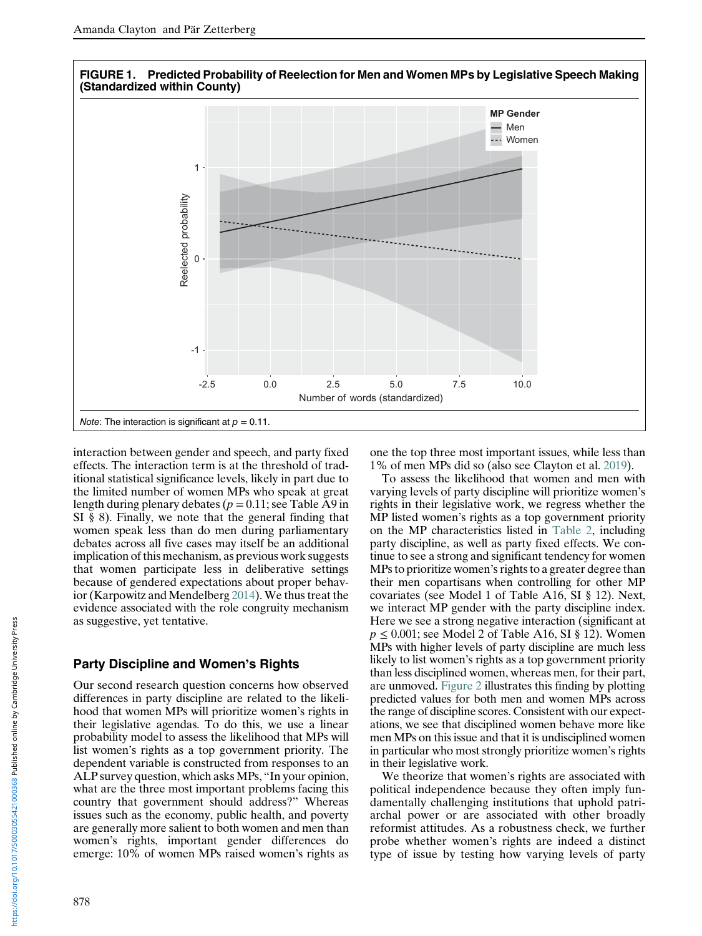<span id="page-9-0"></span>

interaction between gender and speech, and party fixed effects. The interaction term is at the threshold of traditional statistical significance levels, likely in part due to the limited number of women MPs who speak at great length during plenary debates ( $p = 0.11$ ; see Table A9 in SI § 8). Finally, we note that the general finding that women speak less than do men during parliamentary debates across all five cases may itself be an additional implication of this mechanism, as previous work suggests that women participate less in deliberative settings because of gendered expectations about proper behavior (Karpowitz and Mendelberg [2014\)](#page-14-0). We thus treat the evidence associated with the role congruity mechanism as suggestive, yet tentative.

## Party Discipline and Women's Rights

Our second research question concerns how observed differences in party discipline are related to the likelihood that women MPs will prioritize women's rights in their legislative agendas. To do this, we use a linear probability model to assess the likelihood that MPs will list women's rights as a top government priority. The dependent variable is constructed from responses to an ALP survey question, which asks MPs, "In your opinion, what are the three most important problems facing this country that government should address?" Whereas issues such as the economy, public health, and poverty are generally more salient to both women and men than women's rights, important gender differences do emerge: 10% of women MPs raised women's rights as

one the top three most important issues, while less than 1% of men MPs did so (also see Clayton et al. [2019](#page-14-0)).

To assess the likelihood that women and men with varying levels of party discipline will prioritize women's rights in their legislative work, we regress whether the MP listed women's rights as a top government priority on the MP characteristics listed in [Table 2,](#page-7-0) including party discipline, as well as party fixed effects. We continue to see a strong and significant tendency for women MPs to prioritize women's rights to a greater degree than their men copartisans when controlling for other MP covariates (see Model 1 of Table A16, SI § 12). Next, we interact MP gender with the party discipline index. Here we see a strong negative interaction (significant at  $p \le 0.001$ ; see Model 2 of Table A16, SI § 12). Women MPs with higher levels of party discipline are much less likely to list women's rights as a top government priority than less disciplined women, whereas men, for their part, are unmoved. [Figure 2](#page-10-0) illustrates this finding by plotting predicted values for both men and women MPs across the range of discipline scores. Consistent with our expectations, we see that disciplined women behave more like men MPs on this issue and that it is undisciplined women in particular who most strongly prioritize women's rights in their legislative work.

We theorize that women's rights are associated with political independence because they often imply fundamentally challenging institutions that uphold patriarchal power or are associated with other broadly reformist attitudes. As a robustness check, we further probe whether women's rights are indeed a distinct type of issue by testing how varying levels of party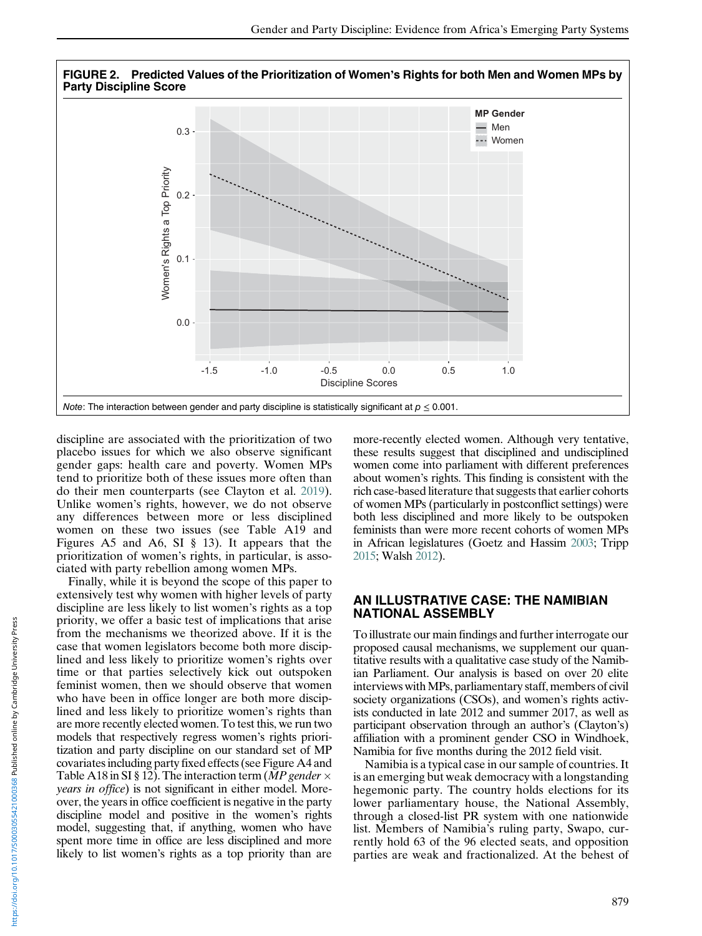<span id="page-10-0"></span>

discipline are associated with the prioritization of two placebo issues for which we also observe significant gender gaps: health care and poverty. Women MPs tend to prioritize both of these issues more often than do their men counterparts (see Clayton et al. [2019\)](#page-14-0). Unlike women's rights, however, we do not observe any differences between more or less disciplined women on these two issues (see Table A19 and Figures A5 and A6, SI § 13). It appears that the prioritization of women's rights, in particular, is associated with party rebellion among women MPs.

Finally, while it is beyond the scope of this paper to extensively test why women with higher levels of party discipline are less likely to list women's rights as a top priority, we offer a basic test of implications that arise from the mechanisms we theorized above. If it is the case that women legislators become both more disciplined and less likely to prioritize women's rights over time or that parties selectively kick out outspoken feminist women, then we should observe that women who have been in office longer are both more disciplined and less likely to prioritize women's rights than are more recently elected women. To test this, we run two models that respectively regress women's rights prioritization and party discipline on our standard set of MP covariates including party fixed effects (see Figure A4 and Table A18 in SI § 12). The interaction term (*MP gender*  $\times$ years in office) is not significant in either model. Moreover, the years in office coefficient is negative in the party discipline model and positive in the women's rights model, suggesting that, if anything, women who have spent more time in office are less disciplined and more likely to list women's rights as a top priority than are

more-recently elected women. Although very tentative, these results suggest that disciplined and undisciplined women come into parliament with different preferences about women's rights. This finding is consistent with the rich case-based literature that suggests that earlier cohorts of women MPs (particularly in postconflict settings) were both less disciplined and more likely to be outspoken feminists than were more recent cohorts of women MPs in African legislatures (Goetz and Hassim [2003](#page-14-0); Tripp [2015;](#page-15-0) Walsh [2012\)](#page-15-0).

## AN ILLUSTRATIVE CASE: THE NAMIBIAN NATIONAL ASSEMBLY

To illustrate our main findings and further interrogate our proposed causal mechanisms, we supplement our quantitative results with a qualitative case study of the Namibian Parliament. Our analysis is based on over 20 elite interviews with MPs, parliamentary staff, members of civil society organizations (CSOs), and women's rights activists conducted in late 2012 and summer 2017, as well as participant observation through an author's (Clayton's) affiliation with a prominent gender CSO in Windhoek, Namibia for five months during the 2012 field visit.

Namibia is a typical case in our sample of countries. It is an emerging but weak democracy with a longstanding hegemonic party. The country holds elections for its lower parliamentary house, the National Assembly, through a closed-list PR system with one nationwide list. Members of Namibia's ruling party, Swapo, currently hold 63 of the 96 elected seats, and opposition parties are weak and fractionalized. At the behest of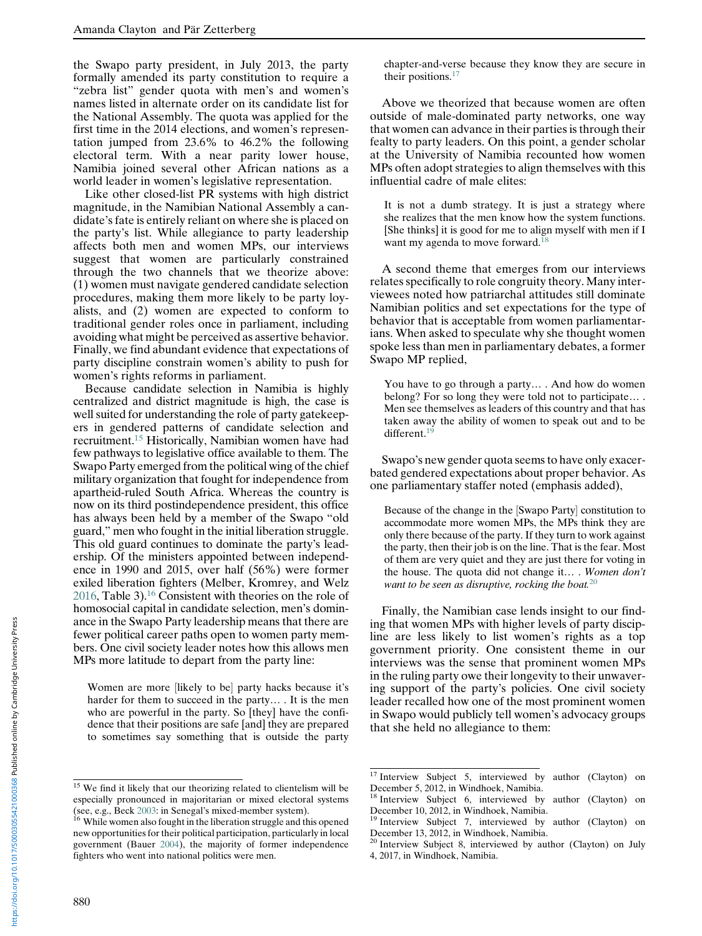the Swapo party president, in July 2013, the party formally amended its party constitution to require a "zebra list" gender quota with men's and women's names listed in alternate order on its candidate list for the National Assembly. The quota was applied for the first time in the 2014 elections, and women's representation jumped from 23.6% to 46.2% the following electoral term. With a near parity lower house, Namibia joined several other African nations as a world leader in women's legislative representation.

Like other closed-list PR systems with high district magnitude, in the Namibian National Assembly a candidate's fate is entirely reliant on where she is placed on the party's list. While allegiance to party leadership affects both men and women MPs, our interviews suggest that women are particularly constrained through the two channels that we theorize above: (1) women must navigate gendered candidate selection procedures, making them more likely to be party loyalists, and (2) women are expected to conform to traditional gender roles once in parliament, including avoiding what might be perceived as assertive behavior. Finally, we find abundant evidence that expectations of party discipline constrain women's ability to push for women's rights reforms in parliament.

Because candidate selection in Namibia is highly centralized and district magnitude is high, the case is well suited for understanding the role of party gatekeepers in gendered patterns of candidate selection and recruitment.15 Historically, Namibian women have had few pathways to legislative office available to them. The Swapo Party emerged from the political wing of the chief military organization that fought for independence from apartheid-ruled South Africa. Whereas the country is now on its third postindependence president, this office has always been held by a member of the Swapo "old guard," men who fought in the initial liberation struggle. This old guard continues to dominate the party's leadership. Of the ministers appointed between independence in 1990 and 2015, over half (56%) were former exiled liberation fighters (Melber, Kromrey, and Welz [2016,](#page-15-0) Table 3).16 Consistent with theories on the role of homosocial capital in candidate selection, men's dominance in the Swapo Party leadership means that there are fewer political career paths open to women party members. One civil society leader notes how this allows men MPs more latitude to depart from the party line:

Women are more [likely to be] party hacks because it's harder for them to succeed in the party… . It is the men who are powerful in the party. So [they] have the confidence that their positions are safe [and] they are prepared to sometimes say something that is outside the party

chapter-and-verse because they know they are secure in their positions. $17$ 

Above we theorized that because women are often outside of male-dominated party networks, one way that women can advance in their parties is through their fealty to party leaders. On this point, a gender scholar at the University of Namibia recounted how women MPs often adopt strategies to align themselves with this influential cadre of male elites:

It is not a dumb strategy. It is just a strategy where she realizes that the men know how the system functions. [She thinks] it is good for me to align myself with men if I want my agenda to move forward.<sup>1</sup>

A second theme that emerges from our interviews relates specifically to role congruity theory. Many interviewees noted how patriarchal attitudes still dominate Namibian politics and set expectations for the type of behavior that is acceptable from women parliamentarians. When asked to speculate why she thought women spoke less than men in parliamentary debates, a former Swapo MP replied,

You have to go through a party… . And how do women belong? For so long they were told not to participate… . Men see themselves as leaders of this country and that has taken away the ability of women to speak out and to be different.<sup>19</sup>

Swapo's new gender quota seems to have only exacerbated gendered expectations about proper behavior. As one parliamentary staffer noted (emphasis added),

Because of the change in the [Swapo Party] constitution to accommodate more women MPs, the MPs think they are only there because of the party. If they turn to work against the party, then their job is on the line. That is the fear. Most of them are very quiet and they are just there for voting in the house. The quota did not change it… . Women don't want to be seen as disruptive, rocking the boat. $20$ 

Finally, the Namibian case lends insight to our finding that women MPs with higher levels of party discipline are less likely to list women's rights as a top government priority. One consistent theme in our interviews was the sense that prominent women MPs in the ruling party owe their longevity to their unwavering support of the party's policies. One civil society leader recalled how one of the most prominent women in Swapo would publicly tell women's advocacy groups that she held no allegiance to them:

<sup>&</sup>lt;sup>15</sup> We find it likely that our theorizing related to clientelism will be especially pronounced in majoritarian or mixed electoral systems

<sup>(</sup>see, e.g., Beck [2003](#page-14-0): in Senegal's mixed-member system). <sup>16</sup> While women also fought in the liberation struggle and this opened new opportunities for their political participation, particularly in local government (Bauer [2004\)](#page-14-0), the majority of former independence fighters who went into national politics were men.

<sup>17</sup> Interview Subject 5, interviewed by author (Clayton) on December 5, 2012, in Windhoek, Namibia.

 $18$  Interview Subject 6, interviewed by author (Clayton) on December 10, 2012, in Windhoek, Namibia.

<sup>19</sup> Interview Subject 7, interviewed by author (Clayton) on December 13, 2012, in Windhoek, Namibia.

<sup>20</sup> Interview Subject 8, interviewed by author (Clayton) on July 4, 2017, in Windhoek, Namibia.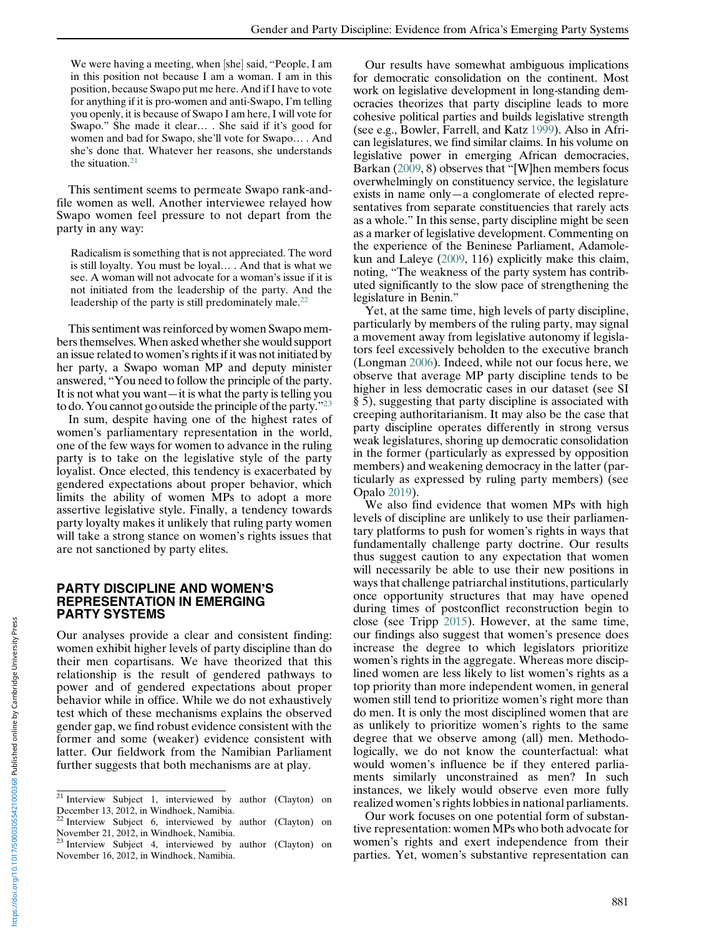We were having a meeting, when [she] said, "People, I am in this position not because I am a woman. I am in this position, because Swapo put me here. And if I have to vote for anything if it is pro-women and anti-Swapo, I'm telling you openly, it is because of Swapo I am here, I will vote for Swapo." She made it clear… . She said if it's good for women and bad for Swapo, she'll vote for Swapo… . And she's done that. Whatever her reasons, she understands the situation.21

This sentiment seems to permeate Swapo rank-andfile women as well. Another interviewee relayed how Swapo women feel pressure to not depart from the party in any way:

Radicalism is something that is not appreciated. The word is still loyalty. You must be loyal… . And that is what we see. A woman will not advocate for a woman's issue if it is not initiated from the leadership of the party. And the leadership of the party is still predominately male.<sup>22</sup>

This sentiment was reinforced by women Swapo members themselves.When asked whether she would support an issue related to women's rights if it was not initiated by her party, a Swapo woman MP and deputy minister answered, "You need to follow the principle of the party. It is not what you want—it is what the party is telling you to do. You cannot go outside the principle of the party."<sup>23</sup>

In sum, despite having one of the highest rates of women's parliamentary representation in the world, one of the few ways for women to advance in the ruling party is to take on the legislative style of the party loyalist. Once elected, this tendency is exacerbated by gendered expectations about proper behavior, which limits the ability of women MPs to adopt a more assertive legislative style. Finally, a tendency towards party loyalty makes it unlikely that ruling party women will take a strong stance on women's rights issues that are not sanctioned by party elites.

#### PARTY DISCIPLINE AND WOMEN'S REPRESENTATION IN EMERGING PARTY SYSTEMS

Our analyses provide a clear and consistent finding: women exhibit higher levels of party discipline than do their men copartisans. We have theorized that this relationship is the result of gendered pathways to power and of gendered expectations about proper behavior while in office. While we do not exhaustively test which of these mechanisms explains the observed gender gap, we find robust evidence consistent with the former and some (weaker) evidence consistent with latter. Our fieldwork from the Namibian Parliament further suggests that both mechanisms are at play.

Our results have somewhat ambiguous implications for democratic consolidation on the continent. Most work on legislative development in long-standing democracies theorizes that party discipline leads to more cohesive political parties and builds legislative strength (see e.g., Bowler, Farrell, and Katz [1999\)](#page-14-0). Also in African legislatures, we find similar claims. In his volume on legislative power in emerging African democracies, Barkan [\(2009,](#page-14-0) 8) observes that "[W]hen members focus overwhelmingly on constituency service, the legislature exists in name only—a conglomerate of elected representatives from separate constituencies that rarely acts as a whole." In this sense, party discipline might be seen as a marker of legislative development. Commenting on the experience of the Beninese Parliament, Adamolekun and Laleye ([2009](#page-14-0), 116) explicitly make this claim, noting, "The weakness of the party system has contributed significantly to the slow pace of strengthening the legislature in Benin."

Yet, at the same time, high levels of party discipline, particularly by members of the ruling party, may signal a movement away from legislative autonomy if legislators feel excessively beholden to the executive branch (Longman [2006\)](#page-15-0). Indeed, while not our focus here, we observe that average MP party discipline tends to be higher in less democratic cases in our dataset (see SI § 5), suggesting that party discipline is associated with creeping authoritarianism. It may also be the case that party discipline operates differently in strong versus weak legislatures, shoring up democratic consolidation in the former (particularly as expressed by opposition members) and weakening democracy in the latter (particularly as expressed by ruling party members) (see Opalo [2019](#page-15-0)).

We also find evidence that women MPs with high levels of discipline are unlikely to use their parliamentary platforms to push for women's rights in ways that fundamentally challenge party doctrine. Our results thus suggest caution to any expectation that women will necessarily be able to use their new positions in ways that challenge patriarchal institutions, particularly once opportunity structures that may have opened during times of postconflict reconstruction begin to close (see Tripp [2015\)](#page-15-0). However, at the same time, our findings also suggest that women's presence does increase the degree to which legislators prioritize women's rights in the aggregate. Whereas more disciplined women are less likely to list women's rights as a top priority than more independent women, in general women still tend to prioritize women's right more than do men. It is only the most disciplined women that are as unlikely to prioritize women's rights to the same degree that we observe among (all) men. Methodologically, we do not know the counterfactual: what would women's influence be if they entered parliaments similarly unconstrained as men? In such instances, we likely would observe even more fully realized women's rights lobbies in national parliaments.

Our work focuses on one potential form of substantive representation: women MPs who both advocate for women's rights and exert independence from their parties. Yet, women's substantive representation can

<sup>21</sup> Interview Subject 1, interviewed by author (Clayton) on December 13, 2012, in Windhoek, Namibia.

<sup>22</sup> Interview Subject 6, interviewed by author (Clayton) on November 21, 2012, in Windhoek, Namibia.

<sup>23</sup> Interview Subject 4, interviewed by author (Clayton) on November 16, 2012, in Windhoek, Namibia.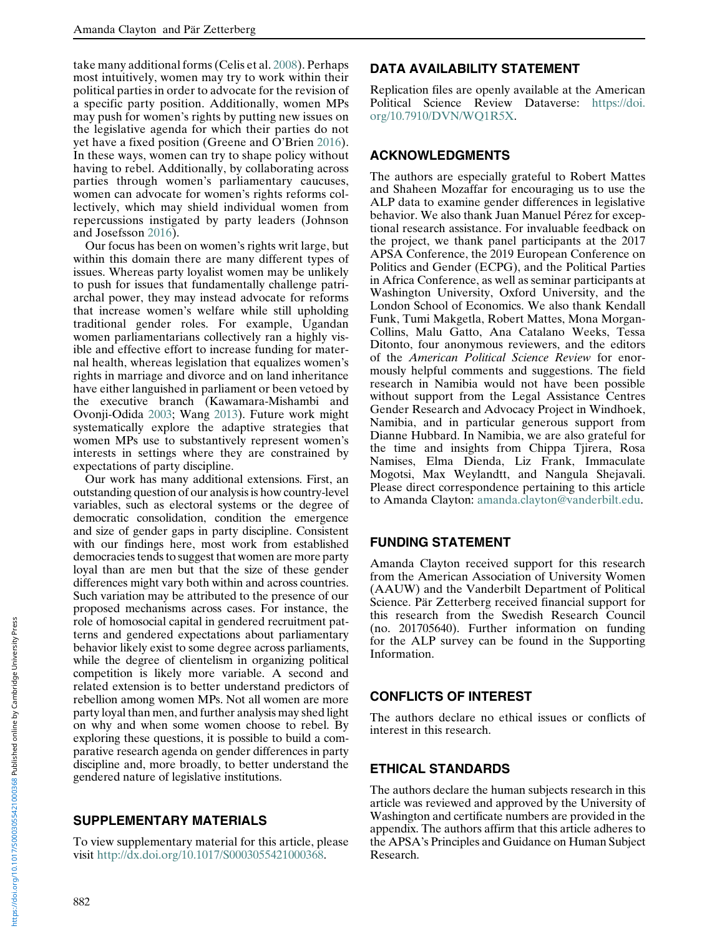take many additional forms (Celis et al. [2008\)](#page-14-0). Perhaps most intuitively, women may try to work within their political parties in order to advocate for the revision of a specific party position. Additionally, women MPs may push for women's rights by putting new issues on the legislative agenda for which their parties do not yet have a fixed position (Greene and O'Brien [2016\)](#page-14-0). In these ways, women can try to shape policy without having to rebel. Additionally, by collaborating across parties through women's parliamentary caucuses, women can advocate for women's rights reforms collectively, which may shield individual women from repercussions instigated by party leaders (Johnson and Josefsson [2016](#page-14-0)).

Our focus has been on women's rights writ large, but within this domain there are many different types of issues. Whereas party loyalist women may be unlikely to push for issues that fundamentally challenge patriarchal power, they may instead advocate for reforms that increase women's welfare while still upholding traditional gender roles. For example, Ugandan women parliamentarians collectively ran a highly visible and effective effort to increase funding for maternal health, whereas legislation that equalizes women's rights in marriage and divorce and on land inheritance have either languished in parliament or been vetoed by the executive branch (Kawamara-Mishambi and Ovonji-Odida [2003;](#page-14-0) Wang [2013](#page-15-0)). Future work might systematically explore the adaptive strategies that women MPs use to substantively represent women's interests in settings where they are constrained by expectations of party discipline.

Our work has many additional extensions. First, an outstanding question of our analysis is how country-level variables, such as electoral systems or the degree of democratic consolidation, condition the emergence and size of gender gaps in party discipline. Consistent with our findings here, most work from established democracies tends to suggest that women are more party loyal than are men but that the size of these gender differences might vary both within and across countries. Such variation may be attributed to the presence of our proposed mechanisms across cases. For instance, the role of homosocial capital in gendered recruitment patterns and gendered expectations about parliamentary behavior likely exist to some degree across parliaments, while the degree of clientelism in organizing political competition is likely more variable. A second and related extension is to better understand predictors of rebellion among women MPs. Not all women are more party loyal than men, and further analysis may shed light on why and when some women choose to rebel. By exploring these questions, it is possible to build a comparative research agenda on gender differences in party discipline and, more broadly, to better understand the gendered nature of legislative institutions.

# SUPPLEMENTARY MATERIALS

To view supplementary material for this article, please visit [http://dx.doi.org/10.1017/S0003055421000368.](http://dx.doi.org/10.1017/S0003055421000368)

# DATA AVAILABILITY STATEMENT

Replication files are openly available at the American Political Science Review Dataverse: [https://doi.](https://doi.org/10.7910/DVN/WQ1R5X) [org/10.7910/DVN/WQ1R5X.](https://doi.org/10.7910/DVN/WQ1R5X)

# ACKNOWLEDGMENTS

The authors are especially grateful to Robert Mattes and Shaheen Mozaffar for encouraging us to use the ALP data to examine gender differences in legislative behavior. We also thank Juan Manuel Pérez for exceptional research assistance. For invaluable feedback on the project, we thank panel participants at the 2017 APSA Conference, the 2019 European Conference on Politics and Gender (ECPG), and the Political Parties in Africa Conference, as well as seminar participants at Washington University, Oxford University, and the London School of Economics. We also thank Kendall Funk, Tumi Makgetla, Robert Mattes, Mona Morgan-Collins, Malu Gatto, Ana Catalano Weeks, Tessa Ditonto, four anonymous reviewers, and the editors of the American Political Science Review for enormously helpful comments and suggestions. The field research in Namibia would not have been possible without support from the Legal Assistance Centres Gender Research and Advocacy Project in Windhoek, Namibia, and in particular generous support from Dianne Hubbard. In Namibia, we are also grateful for the time and insights from Chippa Tjirera, Rosa Namises, Elma Dienda, Liz Frank, Immaculate Mogotsi, Max Weylandtt, and Nangula Shejavali. Please direct correspondence pertaining to this article to Amanda Clayton: [amanda.clayton@vanderbilt.edu.](mailto:amanda.clayton@vanderbilt.edu)

# FUNDING STATEMENT

Amanda Clayton received support for this research from the American Association of University Women (AAUW) and the Vanderbilt Department of Political Science. Pär Zetterberg received financial support for this research from the Swedish Research Council (no. 201705640). Further information on funding for the ALP survey can be found in the Supporting Information.

# CONFLICTS OF INTEREST

The authors declare no ethical issues or conflicts of interest in this research.

# ETHICAL STANDARDS

The authors declare the human subjects research in this article was reviewed and approved by the University of Washington and certificate numbers are provided in the appendix. The authors affirm that this article adheres to the APSA's Principles and Guidance on Human Subject Research.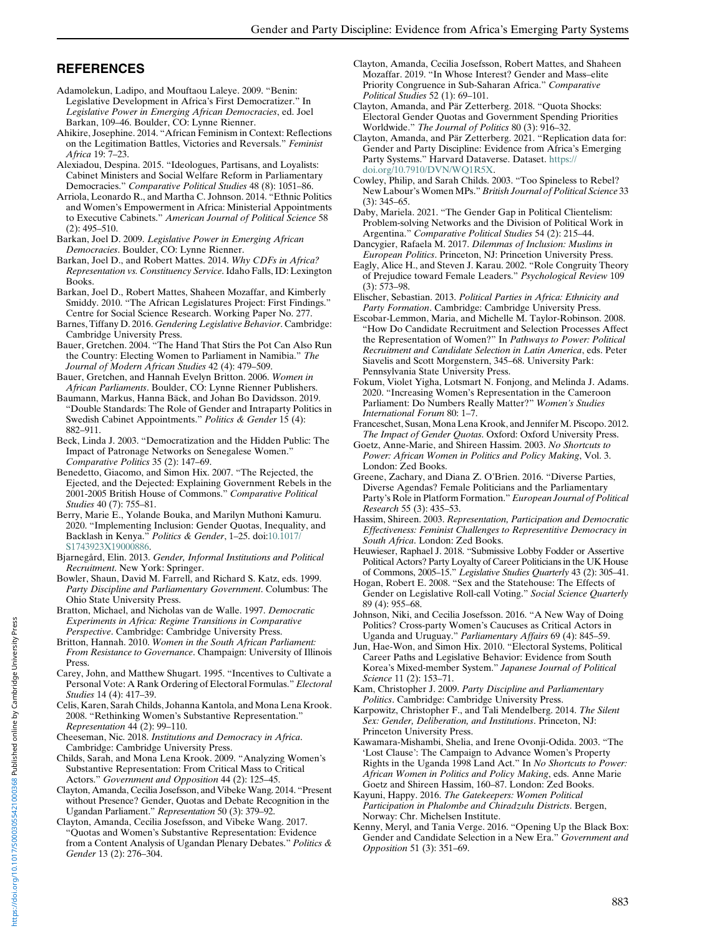# <span id="page-14-0"></span>REFERENCES

- Adamolekun, Ladipo, and Mouftaou Laleye. 2009. "Benin: Legislative Development in Africa's First Democratizer." In Legislative Power in Emerging African Democracies, ed. Joel Barkan, 109–46. Boulder, CO: Lynne Rienner.
- Ahikire, Josephine. 2014. "African Feminism in Context: Reflections on the Legitimation Battles, Victories and Reversals." Feminist Africa 19: 7–23.
- Alexiadou, Despina. 2015. "Ideologues, Partisans, and Loyalists: Cabinet Ministers and Social Welfare Reform in Parliamentary Democracies." Comparative Political Studies 48 (8): 1051–86.
- Arriola, Leonardo R., and Martha C. Johnson. 2014. "Ethnic Politics and Women's Empowerment in Africa: Ministerial Appointments to Executive Cabinets." American Journal of Political Science 58 (2): 495–510.
- Barkan, Joel D. 2009. Legislative Power in Emerging African Democracies. Boulder, CO: Lynne Rienner.
- Barkan, Joel D., and Robert Mattes. 2014. Why CDFs in Africa? Representation vs. Constituency Service. Idaho Falls, ID: Lexington Books.
- Barkan, Joel D., Robert Mattes, Shaheen Mozaffar, and Kimberly Smiddy. 2010. "The African Legislatures Project: First Findings." Centre for Social Science Research. Working Paper No. 277.
- Barnes, Tiffany D. 2016. Gendering Legislative Behavior. Cambridge: Cambridge University Press.
- Bauer, Gretchen. 2004. "The Hand That Stirs the Pot Can Also Run the Country: Electing Women to Parliament in Namibia." The Journal of Modern African Studies 42 (4): 479–509.
- Bauer, Gretchen, and Hannah Evelyn Britton. 2006. Women in African Parliaments. Boulder, CO: Lynne Rienner Publishers.
- Baumann, Markus, Hanna Bäck, and Johan Bo Davidsson. 2019. "Double Standards: The Role of Gender and Intraparty Politics in Swedish Cabinet Appointments." Politics & Gender 15 (4): 882–911.
- Beck, Linda J. 2003. "Democratization and the Hidden Public: The Impact of Patronage Networks on Senegalese Women." Comparative Politics 35 (2): 147–69.
- Benedetto, Giacomo, and Simon Hix. 2007. "The Rejected, the Ejected, and the Dejected: Explaining Government Rebels in the 2001-2005 British House of Commons." Comparative Political Studies 40 (7): 755–81.
- Berry, Marie E., Yolande Bouka, and Marilyn Muthoni Kamuru. 2020. "Implementing Inclusion: Gender Quotas, Inequality, and Backlash in Kenya." Politics & Gender, 1-25. doi:[10.1017/](https://doi.org/10.1017/S1743923X19000886) [S1743923X19000886](https://doi.org/10.1017/S1743923X19000886).
- Bjarnegård, Elin. 2013. Gender, Informal Institutions and Political Recruitment. New York: Springer.
- Bowler, Shaun, David M. Farrell, and Richard S. Katz, eds. 1999. Party Discipline and Parliamentary Government. Columbus: The Ohio State University Press.
- Bratton, Michael, and Nicholas van de Walle. 1997. Democratic Experiments in Africa: Regime Transitions in Comparative Perspective. Cambridge: Cambridge University Press.
- Britton, Hannah. 2010. Women in the South African Parliament: From Resistance to Governance. Champaign: University of Illinois
- Press. Carey, John, and Matthew Shugart. 1995. "Incentives to Cultivate a Personal Vote: A Rank Ordering of Electoral Formulas." Electoral Studies 14 (4): 417–39.
- Celis, Karen, Sarah Childs, Johanna Kantola, and Mona Lena Krook. 2008. "Rethinking Women's Substantive Representation." Representation 44 (2): 99–110.
- Cheeseman, Nic. 2018. Institutions and Democracy in Africa. Cambridge: Cambridge University Press.
- Childs, Sarah, and Mona Lena Krook. 2009. "Analyzing Women's Substantive Representation: From Critical Mass to Critical Actors." Government and Opposition 44 (2): 125–45.
- Clayton, Amanda, Cecilia Josefsson, and Vibeke Wang. 2014. "Present without Presence? Gender, Quotas and Debate Recognition in the Ugandan Parliament." Representation 50 (3): 379–92.
- Clayton, Amanda, Cecilia Josefsson, and Vibeke Wang. 2017. "Quotas and Women's Substantive Representation: Evidence from a Content Analysis of Ugandan Plenary Debates." Politics & Gender 13 (2): 276–304.
- Clayton, Amanda, Cecilia Josefsson, Robert Mattes, and Shaheen Mozaffar. 2019. "In Whose Interest? Gender and Mass–elite Priority Congruence in Sub-Saharan Africa." Comparative Political Studies 52 (1): 69–101.
- Clayton, Amanda, and Pär Zetterberg. 2018. "Quota Shocks: Electoral Gender Quotas and Government Spending Priorities Worldwide." The Journal of Politics 80 (3): 916-32.
- Clayton, Amanda, and Pär Zetterberg. 2021. "Replication data for: Gender and Party Discipline: Evidence from Africa's Emerging Party Systems." Harvard Dataverse. Dataset. [https://](https://doi.org/10.7910/DVN/WQ1R5X) [doi.org/10.7910/DVN/WQ1R5X](https://doi.org/10.7910/DVN/WQ1R5X).
- Cowley, Philip, and Sarah Childs. 2003. "Too Spineless to Rebel? New Labour's Women MPs." British Journal of Political Science 33 (3): 345–65.
- Daby, Mariela. 2021. "The Gender Gap in Political Clientelism: Problem-solving Networks and the Division of Political Work in Argentina." Comparative Political Studies 54 (2): 215–44.
- Dancygier, Rafaela M. 2017. Dilemmas of Inclusion: Muslims in European Politics. Princeton, NJ: Princetion University Press.
- Eagly, Alice H., and Steven J. Karau. 2002. "Role Congruity Theory of Prejudice toward Female Leaders." Psychological Review 109 (3): 573–98.
- Elischer, Sebastian. 2013. Political Parties in Africa: Ethnicity and Party Formation. Cambridge: Cambridge University Press.
- Escobar-Lemmon, Maria, and Michelle M. Taylor-Robinson. 2008. "How Do Candidate Recruitment and Selection Processes Affect the Representation of Women?" In Pathways to Power: Political Recruitment and Candidate Selection in Latin America, eds. Peter Siavelis and Scott Morgenstern, 345–68. University Park: Pennsylvania State University Press.
- Fokum, Violet Yigha, Lotsmart N. Fonjong, and Melinda J. Adams. 2020. "Increasing Women's Representation in the Cameroon Parliament: Do Numbers Really Matter?" Women's Studies International Forum 80: 1–7.
- Franceschet, Susan, Mona Lena Krook, and Jennifer M. Piscopo. 2012. The Impact of Gender Quotas. Oxford: Oxford University Press.
- Goetz, Anne-Marie, and Shireen Hassim. 2003. No Shortcuts to Power: African Women in Politics and Policy Making, Vol. 3. London: Zed Books.
- Greene, Zachary, and Diana Z. O'Brien. 2016. "Diverse Parties, Diverse Agendas? Female Politicians and the Parliamentary Party's Role in Platform Formation." European Journal of Political Research 55 (3): 435–53.
- Hassim, Shireen. 2003. Representation, Participation and Democratic Effectiveness: Feminist Challenges to Representitive Democracy in South Africa. London: Zed Books.
- Heuwieser, Raphael J. 2018. "Submissive Lobby Fodder or Assertive Political Actors? Party Loyalty of Career Politicians in the UK House of Commons, 2005–15." Legislative Studies Quarterly 43 (2): 305–41.
- Hogan, Robert E. 2008. "Sex and the Statehouse: The Effects of Gender on Legislative Roll-call Voting." Social Science Quarterly 89 (4): 955–68.
- Johnson, Niki, and Cecilia Josefsson. 2016. "A New Way of Doing Politics? Cross-party Women's Caucuses as Critical Actors in Uganda and Uruguay." Parliamentary Affairs 69 (4): 845–59.
- Jun, Hae-Won, and Simon Hix. 2010. "Electoral Systems, Political Career Paths and Legislative Behavior: Evidence from South Korea's Mixed-member System." Japanese Journal of Political Science 11 (2): 153–71.
- Kam, Christopher J. 2009. Party Discipline and Parliamentary Politics. Cambridge: Cambridge University Press.
- Karpowitz, Christopher F., and Tali Mendelberg. 2014. The Silent Sex: Gender, Deliberation, and Institutions. Princeton, NJ: Princeton University Press.
- Kawamara-Mishambi, Shelia, and Irene Ovonji-Odida. 2003. "The 'Lost Clause': The Campaign to Advance Women's Property Rights in the Uganda 1998 Land Act." In No Shortcuts to Power: African Women in Politics and Policy Making, eds. Anne Marie Goetz and Shireen Hassim, 160–87. London: Zed Books.
- Kayuni, Happy. 2016. The Gatekeepers: Women Political Participation in Phalombe and Chiradzulu Districts. Bergen, Norway: Chr. Michelsen Institute.
- Kenny, Meryl, and Tania Verge. 2016. "Opening Up the Black Box: Gender and Candidate Selection in a New Era." Government and Opposition 51 (3): 351–69.